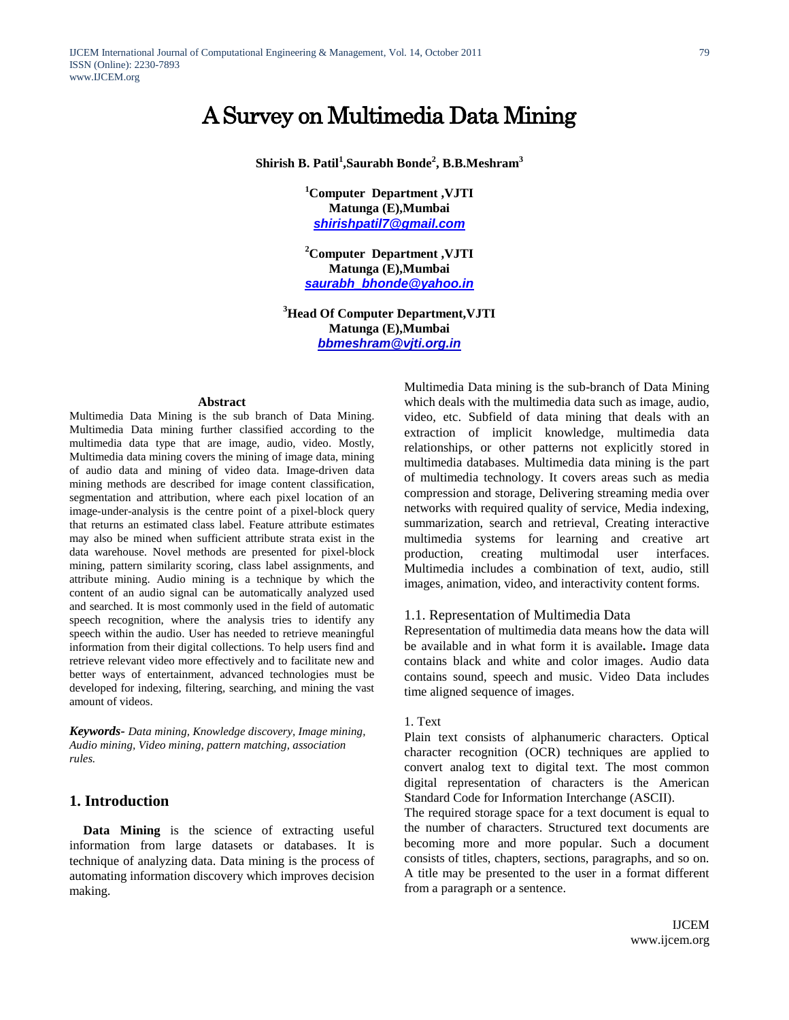# A Survey on Multimedia Data Mining

**Shirish B. Patil<sup>1</sup> ,Saurabh Bonde<sup>2</sup> , B.B.Meshram<sup>3</sup>**

**<sup>1</sup>Computer Department ,VJTI Matunga (E),Mumbai** *[shirishpatil7@gmail.com](mailto:shirishpatil7@gmail.com)*

**<sup>2</sup>Computer Department ,VJTI Matunga (E),Mumbai** *[saurabh\\_bhonde@yahoo.in](mailto:saurabh_bhonde@yahoo.in)*

**<sup>3</sup>Head Of Computer Department,VJTI Matunga (E),Mumbai** *[bbmeshram@vjti.org.in](mailto:bbmeshram@vjti.org.in)*

#### **Abstract**

Multimedia Data Mining is the sub branch of Data Mining. Multimedia Data mining further classified according to the multimedia data type that are image, audio, video. Mostly, Multimedia data mining covers the mining of image data, mining of audio data and mining of video data. Image-driven data mining methods are described for image content classification, segmentation and attribution, where each pixel location of an image-under-analysis is the centre point of a pixel-block query that returns an estimated class label. Feature attribute estimates may also be mined when sufficient attribute strata exist in the data warehouse. Novel methods are presented for pixel-block mining, pattern similarity scoring, class label assignments, and attribute mining. Audio mining is a technique by which the content of an audio signal can be automatically analyzed used and searched. It is most commonly used in the field of automatic speech recognition, where the analysis tries to identify any speech within the audio. User has needed to retrieve meaningful information from their digital collections. To help users find and retrieve relevant video more effectively and to facilitate new and better ways of entertainment, advanced technologies must be developed for indexing, filtering, searching, and mining the vast amount of videos.

*Keywords- Data mining, Knowledge discovery, Image mining, Audio mining, Video mining, pattern matching, association rules.*

# **1. Introduction**

**Data Mining** is the science of extracting useful information from large datasets or databases. It is technique of analyzing data. Data mining is the process of automating information discovery which improves decision making.

Multimedia Data mining is the sub-branch of Data Mining which deals with the multimedia data such as image, audio, video, etc. Subfield of data mining that deals with an extraction of implicit knowledge, multimedia data relationships, or other patterns not explicitly stored in multimedia databases. Multimedia data mining is the part of multimedia technology. It covers areas such as media compression and storage, Delivering streaming media over networks with required quality of service, Media indexing, summarization, search and retrieval, Creating interactive multimedia systems for learning and creative art production, creating multimodal user interfaces. Multimedia includes a combination of text, audio, still images, animation, video, and interactivity content forms.

## 1.1. Representation of Multimedia Data

Representation of multimedia data means how the data will be available and in what form it is available**.** Image data contains black and white and color images. Audio data contains sound, speech and music. Video Data includes time aligned sequence of images.

#### 1. Text

Plain text consists of alphanumeric characters. Optical character recognition (OCR) techniques are applied to convert analog text to digital text. The most common digital representation of characters is the American Standard Code for Information Interchange (ASCII).

The required storage space for a text document is equal to the number of characters. Structured text documents are becoming more and more popular. Such a document consists of titles, chapters, sections, paragraphs, and so on. A title may be presented to the user in a format different from a paragraph or a sentence.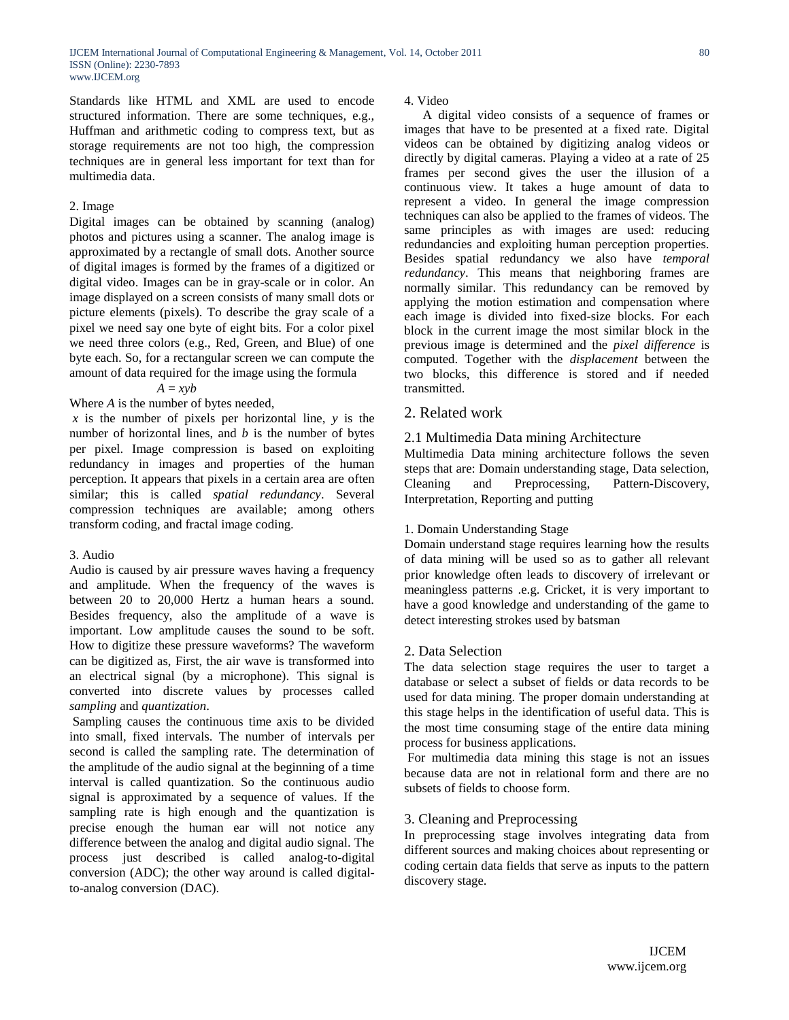Standards like HTML and XML are used to encode structured information. There are some techniques, e.g., Huffman and arithmetic coding to compress text, but as storage requirements are not too high, the compression techniques are in general less important for text than for multimedia data.

#### 2. Image

Digital images can be obtained by scanning (analog) photos and pictures using a scanner. The analog image is approximated by a rectangle of small dots. Another source of digital images is formed by the frames of a digitized or digital video. Images can be in gray-scale or in color. An image displayed on a screen consists of many small dots or picture elements (pixels). To describe the gray scale of a pixel we need say one byte of eight bits. For a color pixel we need three colors (e.g., Red, Green, and Blue) of one byte each. So, for a rectangular screen we can compute the amount of data required for the image using the formula

$$
A=xyb
$$

Where *A* is the number of bytes needed,

*x* is the number of pixels per horizontal line, *y* is the number of horizontal lines, and *b* is the number of bytes per pixel. Image compression is based on exploiting redundancy in images and properties of the human perception. It appears that pixels in a certain area are often similar; this is called *spatial redundancy*. Several compression techniques are available; among others transform coding, and fractal image coding.

## 3. Audio

Audio is caused by air pressure waves having a frequency and amplitude. When the frequency of the waves is between 20 to 20,000 Hertz a human hears a sound. Besides frequency, also the amplitude of a wave is important. Low amplitude causes the sound to be soft. How to digitize these pressure waveforms? The waveform can be digitized as, First, the air wave is transformed into an electrical signal (by a microphone). This signal is converted into discrete values by processes called *sampling* and *quantization*.

Sampling causes the continuous time axis to be divided into small, fixed intervals. The number of intervals per second is called the sampling rate. The determination of the amplitude of the audio signal at the beginning of a time interval is called quantization. So the continuous audio signal is approximated by a sequence of values. If the sampling rate is high enough and the quantization is precise enough the human ear will not notice any difference between the analog and digital audio signal. The process just described is called analog-to-digital conversion (ADC); the other way around is called digitalto-analog conversion (DAC).

4. Video

A digital video consists of a sequence of frames or images that have to be presented at a fixed rate. Digital videos can be obtained by digitizing analog videos or directly by digital cameras. Playing a video at a rate of 25 frames per second gives the user the illusion of a continuous view. It takes a huge amount of data to represent a video. In general the image compression techniques can also be applied to the frames of videos. The same principles as with images are used: reducing redundancies and exploiting human perception properties. Besides spatial redundancy we also have *temporal redundancy*. This means that neighboring frames are normally similar. This redundancy can be removed by applying the motion estimation and compensation where each image is divided into fixed-size blocks. For each block in the current image the most similar block in the previous image is determined and the *pixel difference* is computed. Together with the *displacement* between the two blocks, this difference is stored and if needed transmitted.

# 2. Related work

## 2.1 Multimedia Data mining Architecture

Multimedia Data mining architecture follows the seven steps that are: Domain understanding stage, Data selection, Cleaning and Preprocessing, Pattern-Discovery, Interpretation, Reporting and putting

## 1. Domain Understanding Stage

Domain understand stage requires learning how the results of data mining will be used so as to gather all relevant prior knowledge often leads to discovery of irrelevant or meaningless patterns .e.g. Cricket, it is very important to have a good knowledge and understanding of the game to detect interesting strokes used by batsman

# 2. Data Selection

The data selection stage requires the user to target a database or select a subset of fields or data records to be used for data mining. The proper domain understanding at this stage helps in the identification of useful data. This is the most time consuming stage of the entire data mining process for business applications.

For multimedia data mining this stage is not an issues because data are not in relational form and there are no subsets of fields to choose form.

# 3. Cleaning and Preprocessing

In preprocessing stage involves integrating data from different sources and making choices about representing or coding certain data fields that serve as inputs to the pattern discovery stage.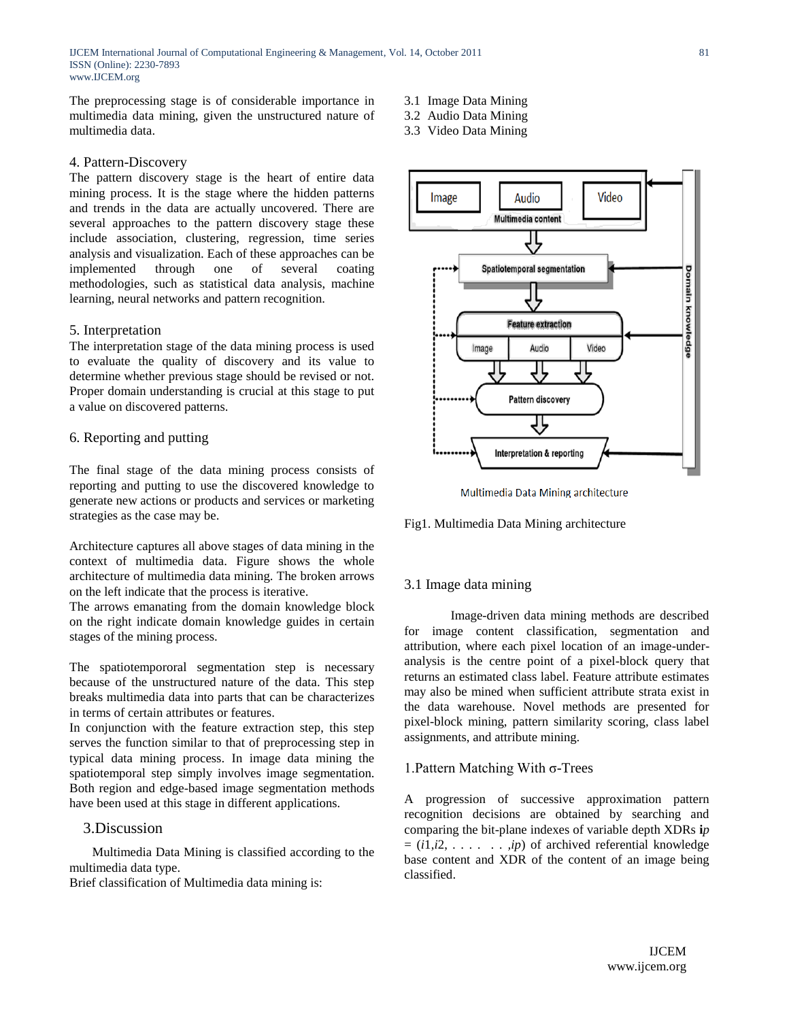The preprocessing stage is of considerable importance in multimedia data mining, given the unstructured nature of multimedia data.

## 4. Pattern-Discovery

The pattern discovery stage is the heart of entire data mining process. It is the stage where the hidden patterns and trends in the data are actually uncovered. There are several approaches to the pattern discovery stage these include association, clustering, regression, time series analysis and visualization. Each of these approaches can be implemented through one of several coating methodologies, such as statistical data analysis, machine learning, neural networks and pattern recognition.

#### 5. Interpretation

The interpretation stage of the data mining process is used to evaluate the quality of discovery and its value to determine whether previous stage should be revised or not. Proper domain understanding is crucial at this stage to put a value on discovered patterns.

## 6. Reporting and putting

The final stage of the data mining process consists of reporting and putting to use the discovered knowledge to generate new actions or products and services or marketing strategies as the case may be.

Architecture captures all above stages of data mining in the context of multimedia data. Figure shows the whole architecture of multimedia data mining. The broken arrows on the left indicate that the process is iterative.

The arrows emanating from the domain knowledge block on the right indicate domain knowledge guides in certain stages of the mining process.

The spatiotempororal segmentation step is necessary because of the unstructured nature of the data. This step breaks multimedia data into parts that can be characterizes in terms of certain attributes or features.

In conjunction with the feature extraction step, this step serves the function similar to that of preprocessing step in typical data mining process. In image data mining the spatiotemporal step simply involves image segmentation. Both region and edge-based image segmentation methods have been used at this stage in different applications.

## 3.Discussion

 Multimedia Data Mining is classified according to the multimedia data type.

Brief classification of Multimedia data mining is:

- 3.1 Image Data Mining
- 3.2 Audio Data Mining
- 3.3 Video Data Mining



Multimedia Data Mining architecture

Fig1. Multimedia Data Mining architecture

#### 3.1 Image data mining

Image-driven data mining methods are described for image content classification, segmentation and attribution, where each pixel location of an image-underanalysis is the centre point of a pixel-block query that returns an estimated class label. Feature attribute estimates may also be mined when sufficient attribute strata exist in the data warehouse. Novel methods are presented for pixel-block mining, pattern similarity scoring, class label assignments, and attribute mining.

#### 1.Pattern Matching With σ-Trees

A progression of successive approximation pattern recognition decisions are obtained by searching and comparing the bit-plane indexes of variable depth XDRs **i***p*   $= (i1,i2, \ldots, ip)$  of archived referential knowledge base content and XDR of the content of an image being classified.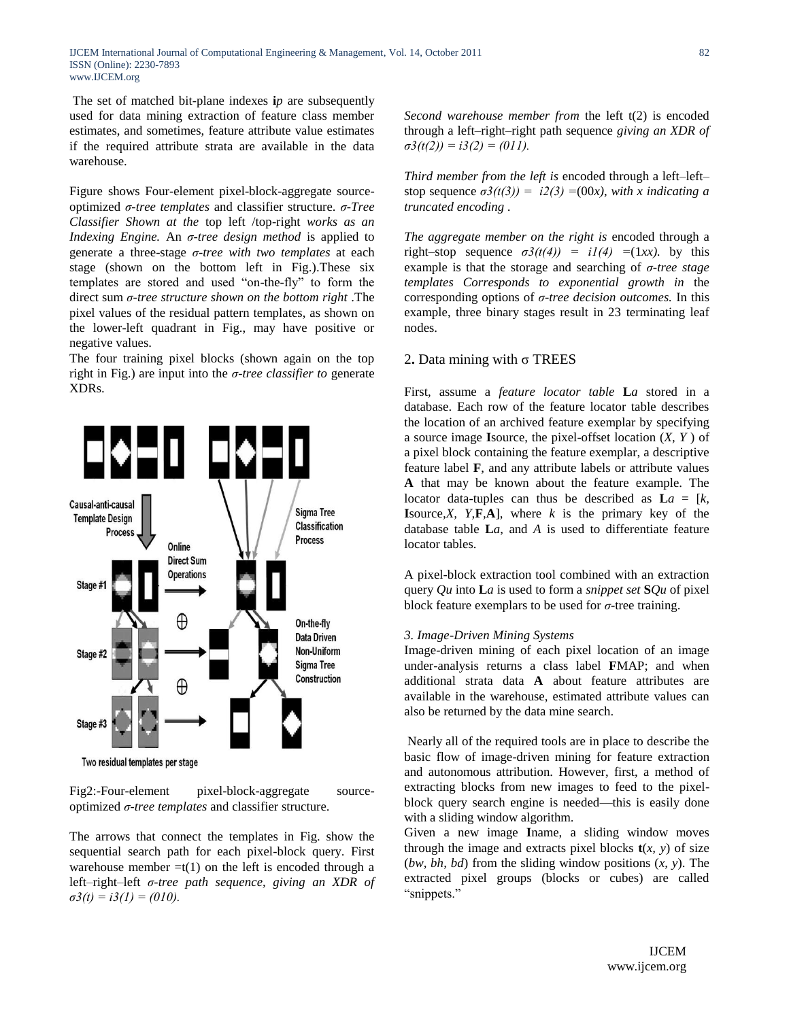The set of matched bit-plane indexes **i***p* are subsequently used for data mining extraction of feature class member estimates, and sometimes, feature attribute value estimates if the required attribute strata are available in the data warehouse.

Figure shows Four-element pixel-block-aggregate sourceoptimized *σ-tree templates* and classifier structure. *σ-Tree Classifier Shown at the* top left /top-right *works as an Indexing Engine.* An *σ-tree design method* is applied to generate a three-stage *σ-tree with two templates* at each stage (shown on the bottom left in Fig.).These six templates are stored and used "on-the-fly" to form the direct sum *σ-tree structure shown on the bottom right* .The pixel values of the residual pattern templates, as shown on the lower-left quadrant in Fig., may have positive or negative values.

The four training pixel blocks (shown again on the top right in Fig.) are input into the *σ-tree classifier to* generate XDRs.



Two residual templates per stage

Fig2:-Four-element pixel-block-aggregate sourceoptimized *σ-tree templates* and classifier structure.

The arrows that connect the templates in Fig. show the sequential search path for each pixel-block query. First warehouse member  $=t(1)$  on the left is encoded through a left–right–left *σ-tree path sequence, giving an XDR of*   $\sigma$ 3(t) = i3(1) = (010).

*Second warehouse member from* the left t(2) is encoded through a left–right–right path sequence *giving an XDR of*   $\sigma3(t(2)) = i3(2) = (011)$ .

*Third member from the left is* encoded through a left–left– stop sequence  $\sigma^2(t(3)) = i2(3) = (00x)$ , with x indicating a *truncated encoding .*

*The aggregate member on the right is* encoded through a right–stop sequence  $\sigma^2(t(4)) = iI(4) = (1xx)$ . by this example is that the storage and searching of *σ-tree stage templates Corresponds to exponential growth in* the corresponding options of *σ-tree decision outcomes.* In this example, three binary stages result in 23 terminating leaf nodes.

## 2**.** Data mining with σ TREES

First, assume a *feature locator table* **L***a* stored in a database. Each row of the feature locator table describes the location of an archived feature exemplar by specifying a source image **I**source, the pixel-offset location (*X, Y* ) of a pixel block containing the feature exemplar, a descriptive feature label **F**, and any attribute labels or attribute values **A** that may be known about the feature example. The locator data-tuples can thus be described as  $La = [k, k]$ **I**source<sub>*,X, Y,***F***,***A**], where *k* is the primary key of the</sub> database table **L***a*, and *A* is used to differentiate feature locator tables.

A pixel-block extraction tool combined with an extraction query *Qu* into **L***a* is used to form a *snippet set* **S***Qu* of pixel block feature exemplars to be used for *σ*-tree training.

#### *3. Image-Driven Mining Systems*

Image-driven mining of each pixel location of an image under-analysis returns a class label **F**MAP; and when additional strata data **A** about feature attributes are available in the warehouse, estimated attribute values can also be returned by the data mine search.

Nearly all of the required tools are in place to describe the basic flow of image-driven mining for feature extraction and autonomous attribution. However, first, a method of extracting blocks from new images to feed to the pixelblock query search engine is needed—this is easily done with a sliding window algorithm.

Given a new image **I**name, a sliding window moves through the image and extracts pixel blocks  $t(x, y)$  of size (*bw, bh, bd*) from the sliding window positions (*x, y*). The extracted pixel groups (blocks or cubes) are called "snippets."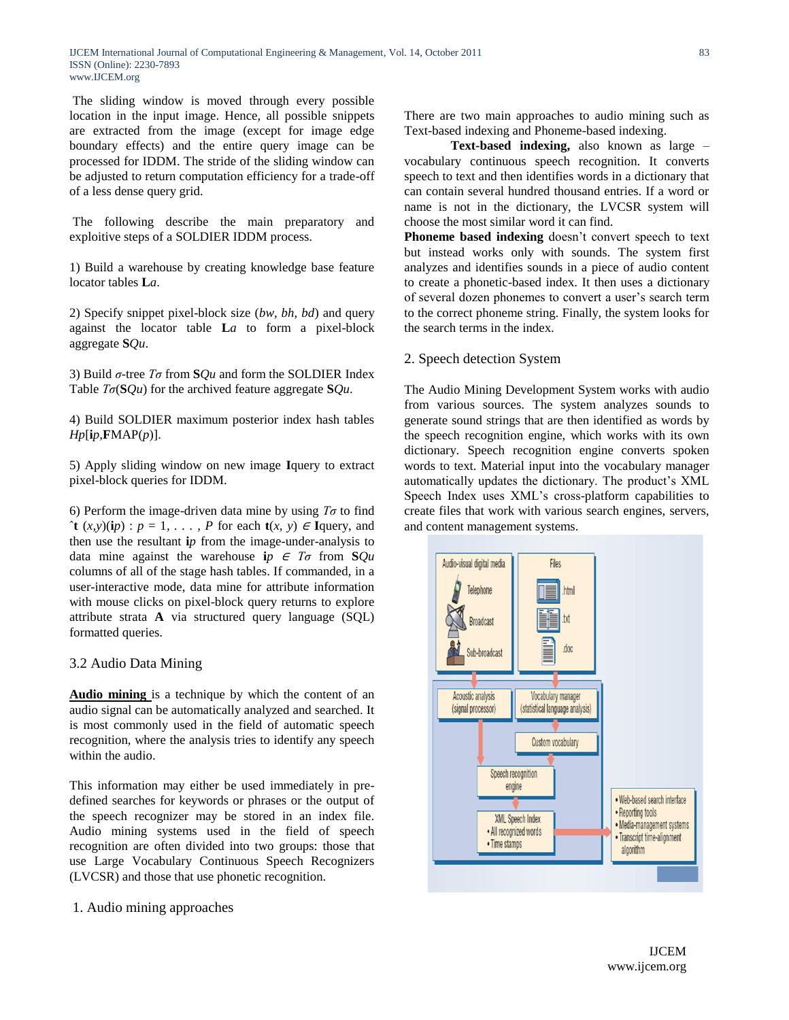IJCEM International Journal of Computational Engineering & Management, Vol. 14, October 2011 ISSN (Online): 2230-7893 www.IJCEM.org

The sliding window is moved through every possible location in the input image. Hence, all possible snippets are extracted from the image (except for image edge boundary effects) and the entire query image can be processed for IDDM. The stride of the sliding window can be adjusted to return computation efficiency for a trade-off of a less dense query grid.

The following describe the main preparatory and exploitive steps of a SOLDIER IDDM process.

1) Build a warehouse by creating knowledge base feature locator tables **L***a*.

2) Specify snippet pixel-block size (*bw, bh, bd*) and query against the locator table **L***a* to form a pixel-block aggregate **S***Qu*.

3) Build *σ*-tree *Tσ* from **S***Qu* and form the SOLDIER Index Table *Tσ*(**S***Qu*) for the archived feature aggregate **S***Qu*.

4) Build SOLDIER maximum posterior index hash tables  $Hp$ [**i***p*,**F**MAP(*p*)].

5) Apply sliding window on new image **I**query to extract pixel-block queries for IDDM.

6) Perform the image-driven data mine by using *Tσ* to find  $\hat{\tau}$ **t**  $(x, y)(ip)$ :  $p = 1, \ldots, P$  for each **t** $(x, y) \in \text{Iquery}$ , and then use the resultant **i***p* from the image-under-analysis to data mine against the warehouse **i***p*  $\in$  *T* $\sigma$  from **S***Qu* columns of all of the stage hash tables. If commanded, in a user-interactive mode, data mine for attribute information with mouse clicks on pixel-block query returns to explore attribute strata **A** via structured query language (SQL) formatted queries.

3.2 Audio Data Mining

**Audio mining** is a technique by which the content of an audio signal can be automatically analyzed and searched. It is most commonly used in the field of automatic speech recognition, where the analysis tries to identify any speech within the audio.

This information may either be used immediately in predefined searches for keywords or phrases or the output of the speech recognizer may be stored in an index file. Audio mining systems used in the field of speech recognition are often divided into two groups: those that use Large Vocabulary Continuous Speech Recognizers (LVCSR) and those that use phonetic recognition.

1. Audio mining approaches

There are two main approaches to audio mining such as Text-based indexing and Phoneme-based indexing.

**Text-based indexing,** also known as large – vocabulary continuous speech recognition. It converts speech to text and then identifies words in a dictionary that can contain several hundred thousand entries. If a word or name is not in the dictionary, the LVCSR system will choose the most similar word it can find.

**Phoneme based indexing** doesn't convert speech to text but instead works only with sounds. The system first analyzes and identifies sounds in a piece of audio content to create a phonetic-based index. It then uses a dictionary of several dozen phonemes to convert a user's search term to the correct phoneme string. Finally, the system looks for the search terms in the index.

## 2. Speech detection System

The Audio Mining Development System works with audio from various sources. The system analyzes sounds to generate sound strings that are then identified as words by the speech recognition engine, which works with its own dictionary. Speech recognition engine converts spoken words to text. Material input into the vocabulary manager automatically updates the dictionary. The product's XML Speech Index uses XML's cross-platform capabilities to create files that work with various search engines, servers, and content management systems.

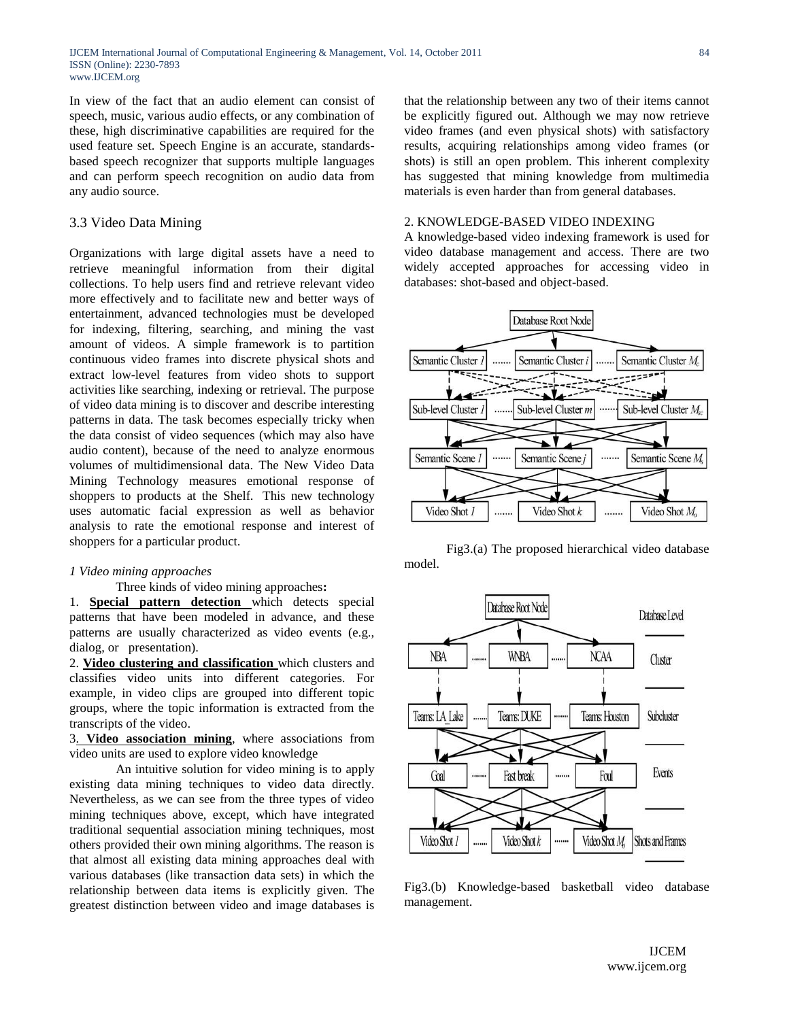In view of the fact that an audio element can consist of speech, music, various audio effects, or any combination of these, high discriminative capabilities are required for the used feature set. Speech Engine is an accurate, standardsbased speech recognizer that supports multiple languages and can perform speech recognition on audio data from any audio source.

## 3.3 Video Data Mining

Organizations with large digital assets have a need to retrieve meaningful information from their digital collections. To help users find and retrieve relevant video more effectively and to facilitate new and better ways of entertainment, advanced technologies must be developed for indexing, filtering, searching, and mining the vast amount of videos. A simple framework is to partition continuous video frames into discrete physical shots and extract low-level features from video shots to support activities like searching, indexing or retrieval. The purpose of video data mining is to discover and describe interesting patterns in data. The task becomes especially tricky when the data consist of video sequences (which may also have audio content), because of the need to analyze enormous volumes of multidimensional data. The New Video Data Mining Technology measures emotional response of shoppers to products at the Shelf. This new technology uses automatic facial expression as well as behavior analysis to rate the emotional response and interest of shoppers for a particular product.

#### *1 Video mining approaches*

#### Three kinds of video mining approaches**:**

1. **Special pattern detection** which detects special patterns that have been modeled in advance, and these patterns are usually characterized as video events (e.g., dialog, or presentation).

2. **Video clustering and classification** which clusters and classifies video units into different categories. For example, in video clips are grouped into different topic groups, where the topic information is extracted from the transcripts of the video.

3. **Video association mining**, where associations from video units are used to explore video knowledge

An intuitive solution for video mining is to apply existing data mining techniques to video data directly. Nevertheless, as we can see from the three types of video mining techniques above, except, which have integrated traditional sequential association mining techniques, most others provided their own mining algorithms. The reason is that almost all existing data mining approaches deal with various databases (like transaction data sets) in which the relationship between data items is explicitly given. The greatest distinction between video and image databases is

that the relationship between any two of their items cannot be explicitly figured out. Although we may now retrieve video frames (and even physical shots) with satisfactory results, acquiring relationships among video frames (or shots) is still an open problem. This inherent complexity has suggested that mining knowledge from multimedia materials is even harder than from general databases.

#### 2. KNOWLEDGE-BASED VIDEO INDEXING

A knowledge-based video indexing framework is used for video database management and access. There are two widely accepted approaches for accessing video in databases: shot-based and object-based.



 Fig3.(a) The proposed hierarchical video database model.



Fig3.(b) Knowledge-based basketball video database management.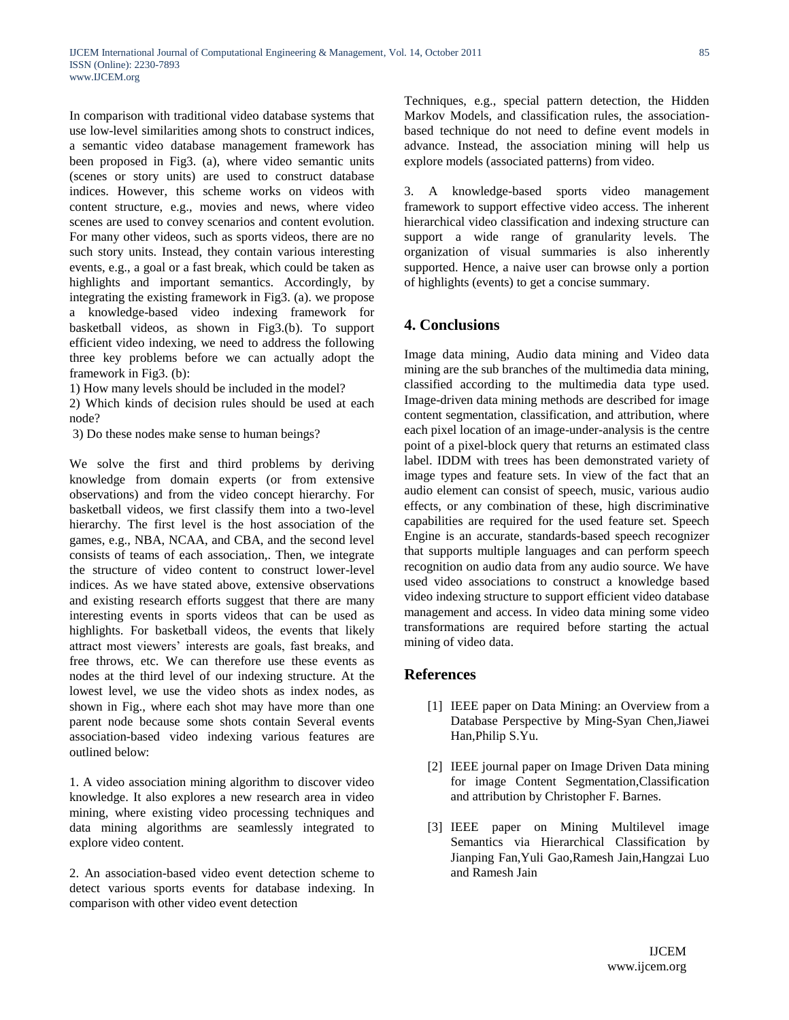In comparison with traditional video database systems that use low-level similarities among shots to construct indices, a semantic video database management framework has been proposed in Fig3. (a), where video semantic units (scenes or story units) are used to construct database indices. However, this scheme works on videos with content structure, e.g., movies and news, where video scenes are used to convey scenarios and content evolution. For many other videos, such as sports videos, there are no such story units. Instead, they contain various interesting events, e.g., a goal or a fast break, which could be taken as highlights and important semantics. Accordingly, by integrating the existing framework in Fig3. (a). we propose a knowledge-based video indexing framework for basketball videos, as shown in Fig3.(b). To support efficient video indexing, we need to address the following three key problems before we can actually adopt the framework in Fig3. (b):

1) How many levels should be included in the model?

2) Which kinds of decision rules should be used at each node?

3) Do these nodes make sense to human beings?

We solve the first and third problems by deriving knowledge from domain experts (or from extensive observations) and from the video concept hierarchy. For basketball videos, we first classify them into a two-level hierarchy. The first level is the host association of the games, e.g., NBA, NCAA, and CBA, and the second level consists of teams of each association,. Then, we integrate the structure of video content to construct lower-level indices. As we have stated above, extensive observations and existing research efforts suggest that there are many interesting events in sports videos that can be used as highlights. For basketball videos, the events that likely attract most viewers' interests are goals, fast breaks, and free throws, etc. We can therefore use these events as nodes at the third level of our indexing structure. At the lowest level, we use the video shots as index nodes, as shown in Fig., where each shot may have more than one parent node because some shots contain Several events association-based video indexing various features are outlined below:

1. A video association mining algorithm to discover video knowledge. It also explores a new research area in video mining, where existing video processing techniques and data mining algorithms are seamlessly integrated to explore video content.

2. An association-based video event detection scheme to detect various sports events for database indexing. In comparison with other video event detection

Techniques, e.g., special pattern detection, the Hidden Markov Models, and classification rules, the associationbased technique do not need to define event models in advance. Instead, the association mining will help us explore models (associated patterns) from video.

3. A knowledge-based sports video management framework to support effective video access. The inherent hierarchical video classification and indexing structure can support a wide range of granularity levels. The organization of visual summaries is also inherently supported. Hence, a naive user can browse only a portion of highlights (events) to get a concise summary.

# **4. Conclusions**

Image data mining, Audio data mining and Video data mining are the sub branches of the multimedia data mining, classified according to the multimedia data type used. Image-driven data mining methods are described for image content segmentation, classification, and attribution, where each pixel location of an image-under-analysis is the centre point of a pixel-block query that returns an estimated class label. IDDM with trees has been demonstrated variety of image types and feature sets. In view of the fact that an audio element can consist of speech, music, various audio effects, or any combination of these, high discriminative capabilities are required for the used feature set. Speech Engine is an accurate, standards-based speech recognizer that supports multiple languages and can perform speech recognition on audio data from any audio source. We have used video associations to construct a knowledge based video indexing structure to support efficient video database management and access. In video data mining some video transformations are required before starting the actual mining of video data.

## **References**

- [1] IEEE paper on Data Mining: an Overview from a Database Perspective by Ming-Syan Chen,Jiawei Han,Philip S.Yu.
- [2] IEEE journal paper on Image Driven Data mining for image Content Segmentation,Classification and attribution by Christopher F. Barnes.
- [3] IEEE paper on Mining Multilevel image Semantics via Hierarchical Classification by Jianping Fan,Yuli Gao,Ramesh Jain,Hangzai Luo and Ramesh Jain